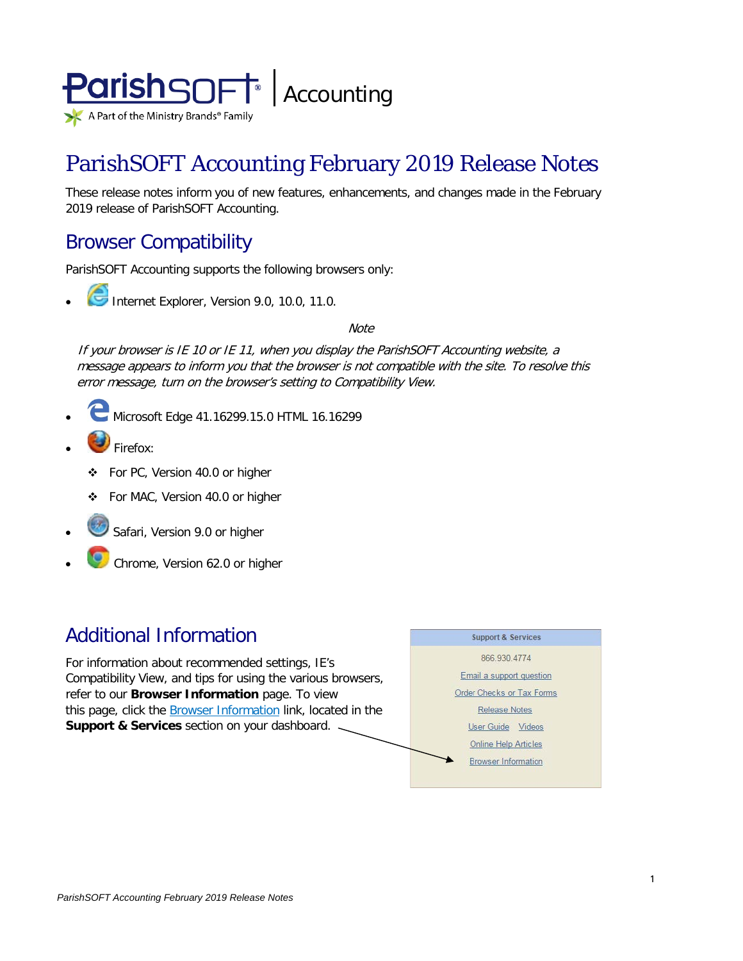

# ParishSOFT Accounting February 2019 Release Notes

These release notes inform you of new features, enhancements, and changes made in the February 2019 release of ParishSOFT Accounting.

### Browser Compatibility

ParishSOFT Accounting supports the following browsers only:

**• Internet Explorer, Version 9.0, 10.0, 11.0.** 

**Note** 

If your browser is IE 10 or IE 11, when you display the ParishSOFT Accounting website, a message appears to inform you that the browser is not compatible with the site. To resolve this error message, turn on the browser's setting to Compatibility View.

- Microsoft Edge 41.16299.15.0 HTML 16.16299
- Firefox:
	- For PC, Version 40.0 or higher
	- For MAC, Version 40.0 or higher
- Safari, Version 9.0 or higher
- Chrome, Version 62.0 or higher

### Additional Information

For information about recommended settings, IE's Compatibility View, and tips for using the various browsers, refer to our **Browser Information** page. To view this page, click the Browser Information link, located in the **Support & Services** section on your dashboard.